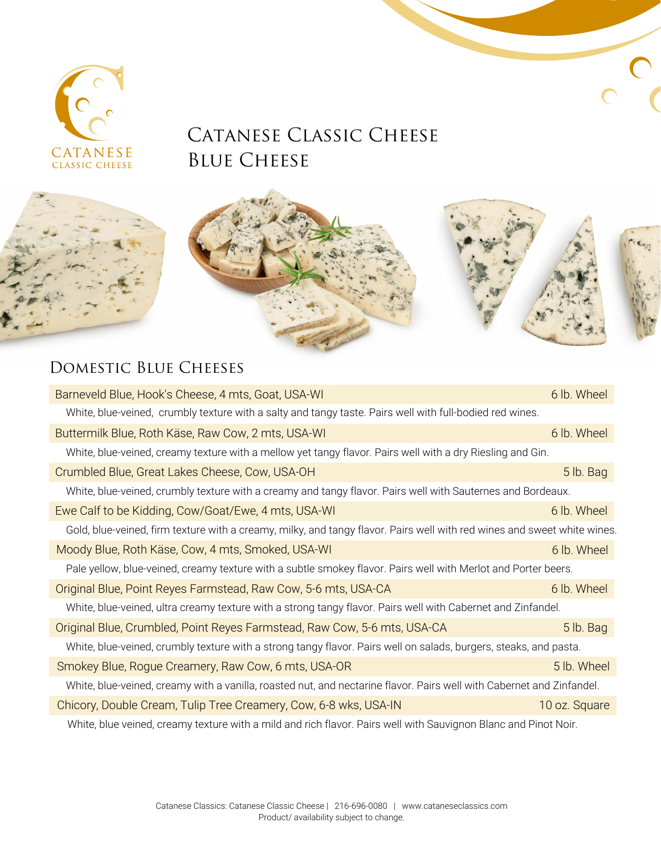

## CATANESE CLASSIC CHEESE BLUE CHEESE



## DOMESTIC BLUE CHEESES

| Barneveld Blue, Hook's Cheese, 4 mts, Goat, USA-WI                                                                       | 6 lb. Wheel   |  |
|--------------------------------------------------------------------------------------------------------------------------|---------------|--|
| White, blue-veined, crumbly texture with a salty and tangy taste. Pairs well with full-bodied red wines.                 |               |  |
| Buttermilk Blue, Roth Käse, Raw Cow, 2 mts, USA-WI                                                                       | 6 lb. Wheel   |  |
| White, blue-veined, creamy texture with a mellow yet tangy flavor. Pairs well with a dry Riesling and Gin.               |               |  |
| Crumbled Blue, Great Lakes Cheese, Cow, USA-OH                                                                           | 5 lb. Bag     |  |
| White, blue-veined, crumbly texture with a creamy and tangy flavor. Pairs well with Sauternes and Bordeaux.              |               |  |
| Ewe Calf to be Kidding, Cow/Goat/Ewe, 4 mts, USA-WI                                                                      | 6 lb. Wheel   |  |
| Gold, blue-veined, firm texture with a creamy, milky, and tangy flavor. Pairs well with red wines and sweet white wines. |               |  |
| Moody Blue, Roth Käse, Cow, 4 mts, Smoked, USA-WI                                                                        | 6 lb. Wheel   |  |
| Pale yellow, blue-veined, creamy texture with a subtle smokey flavor. Pairs well with Merlot and Porter beers.           |               |  |
| Original Blue, Point Reyes Farmstead, Raw Cow, 5-6 mts, USA-CA                                                           | 6 lb. Wheel   |  |
| White, blue-veined, ultra creamy texture with a strong tangy flavor. Pairs well with Cabernet and Zinfandel.             |               |  |
| Original Blue, Crumbled, Point Reyes Farmstead, Raw Cow, 5-6 mts, USA-CA                                                 | 5 lb. Bag     |  |
| White, blue-veined, crumbly texture with a strong tangy flavor. Pairs well on salads, burgers, steaks, and pasta.        |               |  |
| Smokey Blue, Rogue Creamery, Raw Cow, 6 mts, USA-OR                                                                      | 5 lb. Wheel   |  |
| White, blue-veined, creamy with a vanilla, roasted nut, and nectarine flavor. Pairs well with Cabernet and Zinfandel.    |               |  |
| Chicory, Double Cream, Tulip Tree Creamery, Cow, 6-8 wks, USA-IN                                                         | 10 oz. Square |  |
| White, blue veined, creamy texture with a mild and rich flavor. Pairs well with Sauvignon Blanc and Pinot Noir.          |               |  |